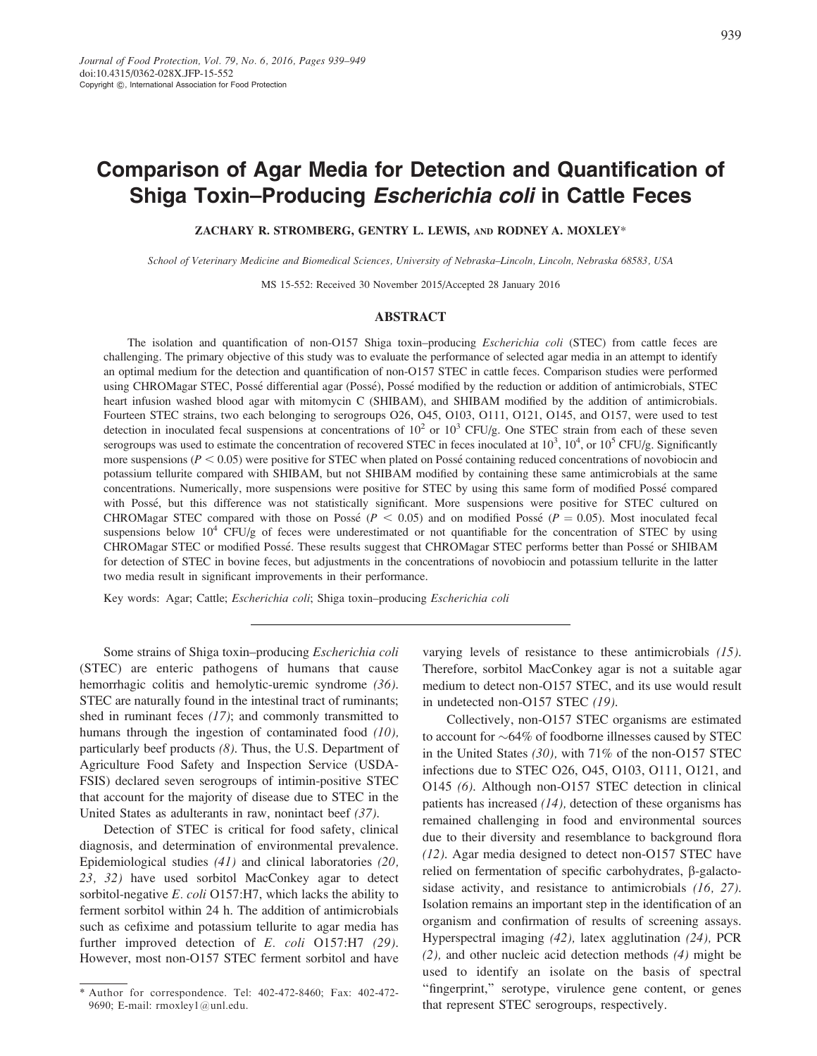# Comparison of Agar Media for Detection and Quantification of Shiga Toxin–Producing Escherichia coli in Cattle Feces

## ZACHARY R. STROMBERG, GENTRY L. LEWIS, AND RODNEY A. MOXLEY\*

School of Veterinary Medicine and Biomedical Sciences, University of Nebraska–Lincoln, Lincoln, Nebraska 68583, USA

MS 15-552: Received 30 November 2015/Accepted 28 January 2016

# ABSTRACT

The isolation and quantification of non-O157 Shiga toxin–producing *Escherichia coli* (STEC) from cattle feces are challenging. The primary objective of this study was to evaluate the performance of selected agar media in an attempt to identify an optimal medium for the detection and quantification of non-O157 STEC in cattle feces. Comparison studies were performed using CHROMagar STEC, Possé differential agar (Possé), Possé modified by the reduction or addition of antimicrobials, STEC heart infusion washed blood agar with mitomycin C (SHIBAM), and SHIBAM modified by the addition of antimicrobials. Fourteen STEC strains, two each belonging to serogroups O26, O45, O103, O111, O121, O145, and O157, were used to test detection in inoculated fecal suspensions at concentrations of  $10^2$  or  $10^3$  CFU/g. One STEC strain from each of these seven serogroups was used to estimate the concentration of recovered STEC in feces inoculated at  $10^3$ ,  $10^4$ , or  $10^5$  CFU/g. Significantly more suspensions ( $P < 0.05$ ) were positive for STEC when plated on Possé containing reduced concentrations of novobiocin and potassium tellurite compared with SHIBAM, but not SHIBAM modified by containing these same antimicrobials at the same concentrations. Numerically, more suspensions were positive for STEC by using this same form of modified Posse compared ´ with Possé, but this difference was not statistically significant. More suspensions were positive for STEC cultured on CHROMagar STEC compared with those on Possé ( $P < 0.05$ ) and on modified Possé ( $P = 0.05$ ). Most inoculated fecal suspensions below  $10^4$  CFU/g of feces were underestimated or not quantifiable for the concentration of STEC by using CHROMagar STEC or modified Possé. These results suggest that CHROMagar STEC performs better than Possé or SHIBAM for detection of STEC in bovine feces, but adjustments in the concentrations of novobiocin and potassium tellurite in the latter two media result in significant improvements in their performance.

Key words: Agar; Cattle; Escherichia coli; Shiga toxin–producing Escherichia coli

Some strains of Shiga toxin–producing Escherichia coli (STEC) are enteric pathogens of humans that cause hemorrhagic colitis and hemolytic-uremic syndrome (36). STEC are naturally found in the intestinal tract of ruminants; shed in ruminant feces  $(17)$ ; and commonly transmitted to humans through the ingestion of contaminated food (10), particularly beef products (8). Thus, the U.S. Department of Agriculture Food Safety and Inspection Service (USDA-FSIS) declared seven serogroups of intimin-positive STEC that account for the majority of disease due to STEC in the United States as adulterants in raw, nonintact beef (37).

Detection of STEC is critical for food safety, clinical diagnosis, and determination of environmental prevalence. Epidemiological studies (41) and clinical laboratories (20, 23, 32) have used sorbitol MacConkey agar to detect sorbitol-negative E. coli O157:H7, which lacks the ability to ferment sorbitol within 24 h. The addition of antimicrobials such as cefixime and potassium tellurite to agar media has further improved detection of E. coli O157:H7 (29). However, most non-O157 STEC ferment sorbitol and have

varying levels of resistance to these antimicrobials (15). Therefore, sorbitol MacConkey agar is not a suitable agar medium to detect non-O157 STEC, and its use would result in undetected non-O157 STEC (19).

Collectively, non-O157 STEC organisms are estimated to account for  $\sim$  64% of foodborne illnesses caused by STEC in the United States (30), with 71% of the non-O157 STEC infections due to STEC O26, O45, O103, O111, O121, and O145 (6). Although non-O157 STEC detection in clinical patients has increased  $(14)$ , detection of these organisms has remained challenging in food and environmental sources due to their diversity and resemblance to background flora (12). Agar media designed to detect non-O157 STEC have relied on fermentation of specific carbohydrates,  $\beta$ -galactosidase activity, and resistance to antimicrobials (16, 27). Isolation remains an important step in the identification of an organism and confirmation of results of screening assays. Hyperspectral imaging (42), latex agglutination (24), PCR (2), and other nucleic acid detection methods (4) might be used to identify an isolate on the basis of spectral ''fingerprint,'' serotype, virulence gene content, or genes that represent STEC serogroups, respectively.

<sup>\*</sup> Author for correspondence. Tel: 402-472-8460; Fax: 402-472- 9690; E-mail: rmoxley1@unl.edu.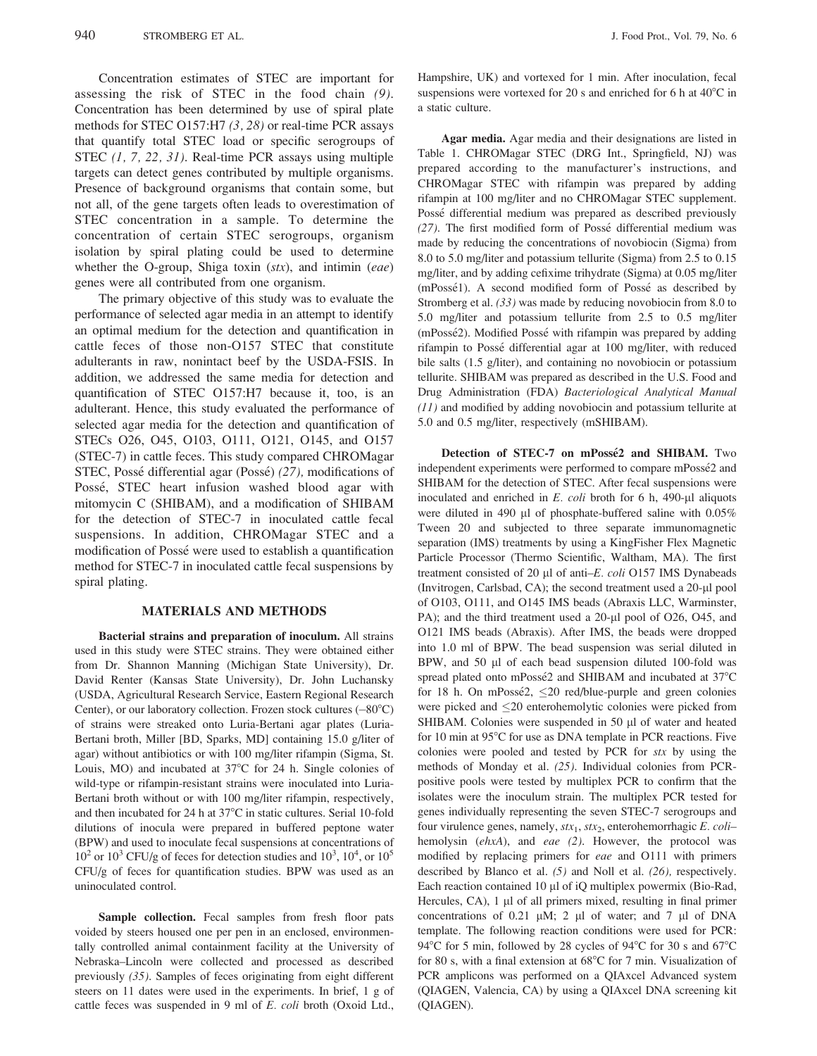Concentration estimates of STEC are important for assessing the risk of STEC in the food chain (9). Concentration has been determined by use of spiral plate methods for STEC O157:H7 (3, 28) or real-time PCR assays that quantify total STEC load or specific serogroups of STEC  $(1, 7, 22, 31)$ . Real-time PCR assays using multiple targets can detect genes contributed by multiple organisms. Presence of background organisms that contain some, but not all, of the gene targets often leads to overestimation of STEC concentration in a sample. To determine the concentration of certain STEC serogroups, organism isolation by spiral plating could be used to determine whether the O-group, Shiga toxin  $(stx)$ , and intimin  $(eae)$ genes were all contributed from one organism.

The primary objective of this study was to evaluate the performance of selected agar media in an attempt to identify an optimal medium for the detection and quantification in cattle feces of those non-O157 STEC that constitute adulterants in raw, nonintact beef by the USDA-FSIS. In addition, we addressed the same media for detection and quantification of STEC O157:H7 because it, too, is an adulterant. Hence, this study evaluated the performance of selected agar media for the detection and quantification of STECs O26, O45, O103, O111, O121, O145, and O157 (STEC-7) in cattle feces. This study compared CHROMagar STEC, Possé differential agar (Possé) (27), modifications of Possé, STEC heart infusion washed blood agar with mitomycin C (SHIBAM), and a modification of SHIBAM for the detection of STEC-7 in inoculated cattle fecal suspensions. In addition, CHROMagar STEC and a modification of Possé were used to establish a quantification method for STEC-7 in inoculated cattle fecal suspensions by spiral plating.

## MATERIALS AND METHODS

Bacterial strains and preparation of inoculum. All strains used in this study were STEC strains. They were obtained either from Dr. Shannon Manning (Michigan State University), Dr. David Renter (Kansas State University), Dr. John Luchansky (USDA, Agricultural Research Service, Eastern Regional Research Center), or our laboratory collection. Frozen stock cultures (-80°C) of strains were streaked onto Luria-Bertani agar plates (Luria-Bertani broth, Miller [BD, Sparks, MD] containing 15.0 g/liter of agar) without antibiotics or with 100 mg/liter rifampin (Sigma, St. Louis, MO) and incubated at  $37^{\circ}$ C for 24 h. Single colonies of wild-type or rifampin-resistant strains were inoculated into Luria-Bertani broth without or with 100 mg/liter rifampin, respectively, and then incubated for 24 h at 37°C in static cultures. Serial 10-fold dilutions of inocula were prepared in buffered peptone water (BPW) and used to inoculate fecal suspensions at concentrations of  $10^2$  or  $10^3$  CFU/g of feces for detection studies and  $10^3$ ,  $10^4$ , or  $10^5$ CFU/g of feces for quantification studies. BPW was used as an uninoculated control.

Sample collection. Fecal samples from fresh floor pats voided by steers housed one per pen in an enclosed, environmentally controlled animal containment facility at the University of Nebraska–Lincoln were collected and processed as described previously (35). Samples of feces originating from eight different steers on 11 dates were used in the experiments. In brief, 1 g of cattle feces was suspended in 9 ml of E. coli broth (Oxoid Ltd., Hampshire, UK) and vortexed for 1 min. After inoculation, fecal suspensions were vortexed for 20 s and enriched for 6 h at  $40^{\circ}$ C in a static culture.

Agar media. Agar media and their designations are listed in Table 1. CHROMagar STEC (DRG Int., Springfield, NJ) was prepared according to the manufacturer's instructions, and CHROMagar STEC with rifampin was prepared by adding rifampin at 100 mg/liter and no CHROMagar STEC supplement. Possé differential medium was prepared as described previously  $(27)$ . The first modified form of Possé differential medium was made by reducing the concentrations of novobiocin (Sigma) from 8.0 to 5.0 mg/liter and potassium tellurite (Sigma) from 2.5 to 0.15 mg/liter, and by adding cefixime trihydrate (Sigma) at 0.05 mg/liter  $(mPossé1)$ . A second modified form of Possé as described by Stromberg et al. (33) was made by reducing novobiocin from 8.0 to 5.0 mg/liter and potassium tellurite from 2.5 to 0.5 mg/liter (mPossé2). Modified Possé with rifampin was prepared by adding rifampin to Possé differential agar at 100 mg/liter, with reduced bile salts (1.5 g/liter), and containing no novobiocin or potassium tellurite. SHIBAM was prepared as described in the U.S. Food and Drug Administration (FDA) Bacteriological Analytical Manual (11) and modified by adding novobiocin and potassium tellurite at 5.0 and 0.5 mg/liter, respectively (mSHIBAM).

Detection of STEC-7 on mPossé2 and SHIBAM. Two independent experiments were performed to compare mPossé2 and SHIBAM for the detection of STEC. After fecal suspensions were inoculated and enriched in  $E.$  coli broth for 6 h, 490- $\mu$ l aliquots were diluted in 490  $\mu$ l of phosphate-buffered saline with 0.05% Tween 20 and subjected to three separate immunomagnetic separation (IMS) treatments by using a KingFisher Flex Magnetic Particle Processor (Thermo Scientific, Waltham, MA). The first treatment consisted of 20  $\mu$ l of anti–E. coli O157 IMS Dynabeads (Invitrogen, Carlsbad, CA); the second treatment used a 20-µl pool of O103, O111, and O145 IMS beads (Abraxis LLC, Warminster, PA); and the third treatment used a 20-µl pool of O26, O45, and O121 IMS beads (Abraxis). After IMS, the beads were dropped into 1.0 ml of BPW. The bead suspension was serial diluted in BPW, and 50 µl of each bead suspension diluted 100-fold was spread plated onto mPossé2 and SHIBAM and incubated at 37°C for 18 h. On mPossé2,  $\leq$  20 red/blue-purple and green colonies were picked and 20 enterohemolytic colonies were picked from SHIBAM. Colonies were suspended in 50 µl of water and heated for 10 min at  $95^{\circ}$ C for use as DNA template in PCR reactions. Five colonies were pooled and tested by PCR for stx by using the methods of Monday et al. (25). Individual colonies from PCRpositive pools were tested by multiplex PCR to confirm that the isolates were the inoculum strain. The multiplex PCR tested for genes individually representing the seven STEC-7 serogroups and four virulence genes, namely,  $stx_1, stx_2$ , enterohemorrhagic E. colihemolysin (ehxA), and eae (2). However, the protocol was modified by replacing primers for eae and O111 with primers described by Blanco et al. (5) and Noll et al. (26), respectively. Each reaction contained 10 µl of iQ multiplex powermix (Bio-Rad, Hercules, CA), 1 µl of all primers mixed, resulting in final primer concentrations of 0.21  $\mu$ M; 2  $\mu$ l of water; and 7  $\mu$ l of DNA template. The following reaction conditions were used for PCR: 94°C for 5 min, followed by 28 cycles of 94°C for 30 s and 67°C for 80 s, with a final extension at  $68^{\circ}$ C for 7 min. Visualization of PCR amplicons was performed on a QIAxcel Advanced system (QIAGEN, Valencia, CA) by using a QIAxcel DNA screening kit (QIAGEN).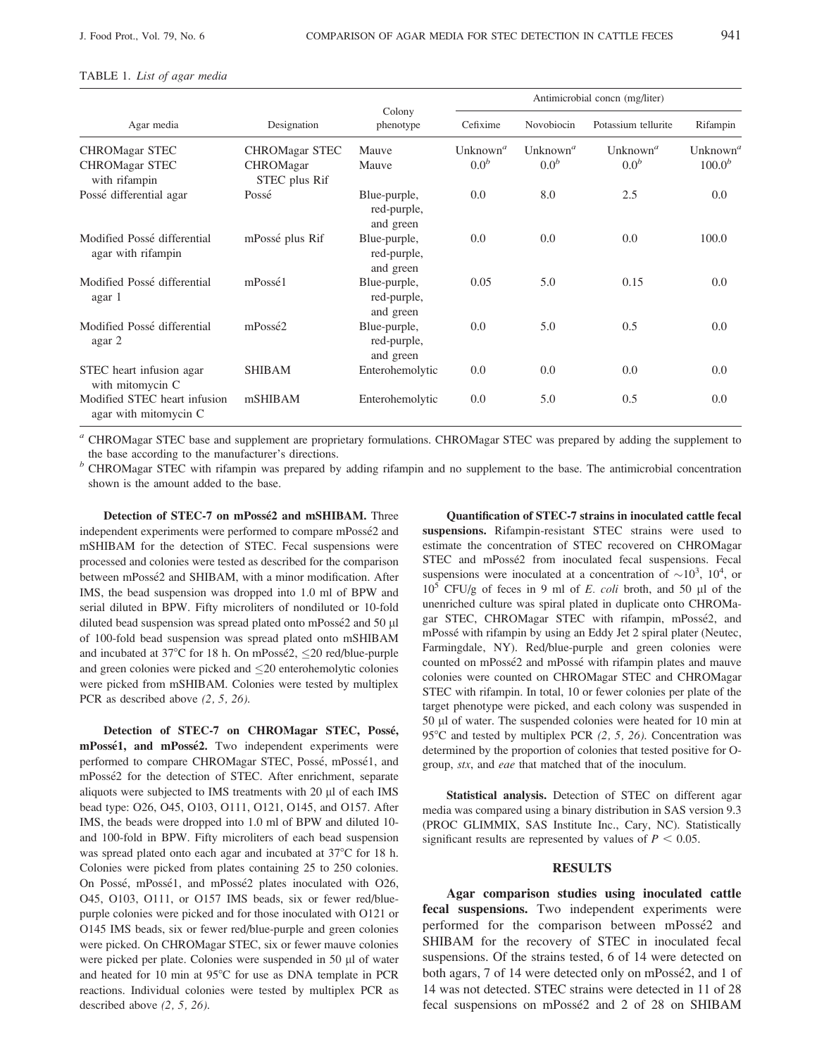### TABLE 1. List of agar media

|                                                       |                                   |                                          |                                   |                                   | Antimicrobial concn (mg/liter)    |                                   |
|-------------------------------------------------------|-----------------------------------|------------------------------------------|-----------------------------------|-----------------------------------|-----------------------------------|-----------------------------------|
| Agar media                                            | Designation                       | Colony<br>phenotype                      | Cefixime                          | Novobiocin                        | Potassium tellurite               | Rifampin                          |
| <b>CHROMagar STEC</b>                                 | <b>CHROMagar STEC</b>             | Mauve                                    | Unknown <sup><math>a</math></sup> | Unknown <sup><math>a</math></sup> | Unknown <sup><math>a</math></sup> | Unknown <sup><math>a</math></sup> |
| <b>CHROMagar STEC</b><br>with rifampin                | <b>CHROMagar</b><br>STEC plus Rif | Mauve                                    | 0.0 <sup>b</sup>                  | 0.0 <sup>b</sup>                  | 0.0 <sup>b</sup>                  | $100.0^{b}$                       |
| Possé differential agar                               | Possé                             | Blue-purple,<br>red-purple,<br>and green | 0.0                               | 8.0                               | 2.5                               | 0.0                               |
| Modified Possé differential<br>agar with rifampin     | mPossé plus Rif                   | Blue-purple,<br>red-purple,<br>and green | 0.0                               | 0.0                               | 0.0                               | 100.0                             |
| Modified Possé differential<br>agar 1                 | mPossé1                           | Blue-purple,<br>red-purple,<br>and green | 0.05                              | 5.0                               | 0.15                              | 0.0                               |
| Modified Possé differential<br>agar 2                 | mPossé2                           | Blue-purple,<br>red-purple,<br>and green | 0.0                               | 5.0                               | 0.5                               | 0.0                               |
| STEC heart infusion agar<br>with mitomycin C          | <b>SHIBAM</b>                     | Enterohemolytic                          | 0.0                               | 0.0                               | 0.0                               | 0.0                               |
| Modified STEC heart infusion<br>agar with mitomycin C | mSHIBAM                           | Enterohemolytic                          | 0.0                               | 5.0                               | 0.5                               | 0.0                               |

<sup>a</sup> CHROMagar STEC base and supplement are proprietary formulations. CHROMagar STEC was prepared by adding the supplement to the base according to the manufacturer's directions.

 $b$  CHROMagar STEC with rifampin was prepared by adding rifampin and no supplement to the base. The antimicrobial concentration shown is the amount added to the base.

Detection of STEC-7 on mPossé2 and mSHIBAM. Three independent experiments were performed to compare mPosse2 and ´ mSHIBAM for the detection of STEC. Fecal suspensions were processed and colonies were tested as described for the comparison between mPossé2 and SHIBAM, with a minor modification. After IMS, the bead suspension was dropped into 1.0 ml of BPW and serial diluted in BPW. Fifty microliters of nondiluted or 10-fold diluted bead suspension was spread plated onto mPossé2 and 50  $\mu$ l of 100-fold bead suspension was spread plated onto mSHIBAM and incubated at 37 $\degree$ C for 18 h. On mPossé2,  $\leq$ 20 red/blue-purple and green colonies were picked and  $\leq$ 20 enterohemolytic colonies were picked from mSHIBAM. Colonies were tested by multiplex PCR as described above (2, 5, 26).

Detection of STEC-7 on CHROMagar STEC, Posse,´ mPossé1, and mPossé2. Two independent experiments were performed to compare CHROMagar STEC, Possé, mPossé1, and mPossé2 for the detection of STEC. After enrichment, separate aliquots were subjected to IMS treatments with 20 µl of each IMS bead type: O26, O45, O103, O111, O121, O145, and O157. After IMS, the beads were dropped into 1.0 ml of BPW and diluted 10 and 100-fold in BPW. Fifty microliters of each bead suspension was spread plated onto each agar and incubated at 37°C for 18 h. Colonies were picked from plates containing 25 to 250 colonies. On Possé, mPossé1, and mPossé2 plates inoculated with O26, O45, O103, O111, or O157 IMS beads, six or fewer red/bluepurple colonies were picked and for those inoculated with O121 or O145 IMS beads, six or fewer red/blue-purple and green colonies were picked. On CHROMagar STEC, six or fewer mauve colonies were picked per plate. Colonies were suspended in 50 µl of water and heated for 10 min at 95°C for use as DNA template in PCR reactions. Individual colonies were tested by multiplex PCR as described above (2, 5, 26).

Quantification of STEC-7 strains in inoculated cattle fecal suspensions. Rifampin-resistant STEC strains were used to estimate the concentration of STEC recovered on CHROMagar STEC and mPossé2 from inoculated fecal suspensions. Fecal suspensions were inoculated at a concentration of  $\sim 10^3$ ,  $10^4$ , or  $10^5$  CFU/g of feces in 9 ml of E. *coli* broth, and 50 µl of the unenriched culture was spiral plated in duplicate onto CHROMagar STEC, CHROMagar STEC with rifampin, mPosse2, and ´ mPossé with rifampin by using an Eddy Jet 2 spiral plater (Neutec, Farmingdale, NY). Red/blue-purple and green colonies were counted on mPossé2 and mPossé with rifampin plates and mauve colonies were counted on CHROMagar STEC and CHROMagar STEC with rifampin. In total, 10 or fewer colonies per plate of the target phenotype were picked, and each colony was suspended in 50 ll of water. The suspended colonies were heated for 10 min at 95 $\degree$ C and tested by multiplex PCR (2, 5, 26). Concentration was determined by the proportion of colonies that tested positive for Ogroup, stx, and eae that matched that of the inoculum.

Statistical analysis. Detection of STEC on different agar media was compared using a binary distribution in SAS version 9.3 (PROC GLIMMIX, SAS Institute Inc., Cary, NC). Statistically significant results are represented by values of  $P < 0.05$ .

## RESULTS

Agar comparison studies using inoculated cattle fecal suspensions. Two independent experiments were performed for the comparison between mPossé2 and SHIBAM for the recovery of STEC in inoculated fecal suspensions. Of the strains tested, 6 of 14 were detected on both agars, 7 of 14 were detected only on mPossé2, and 1 of 14 was not detected. STEC strains were detected in 11 of 28 fecal suspensions on mPossé2 and 2 of 28 on SHIBAM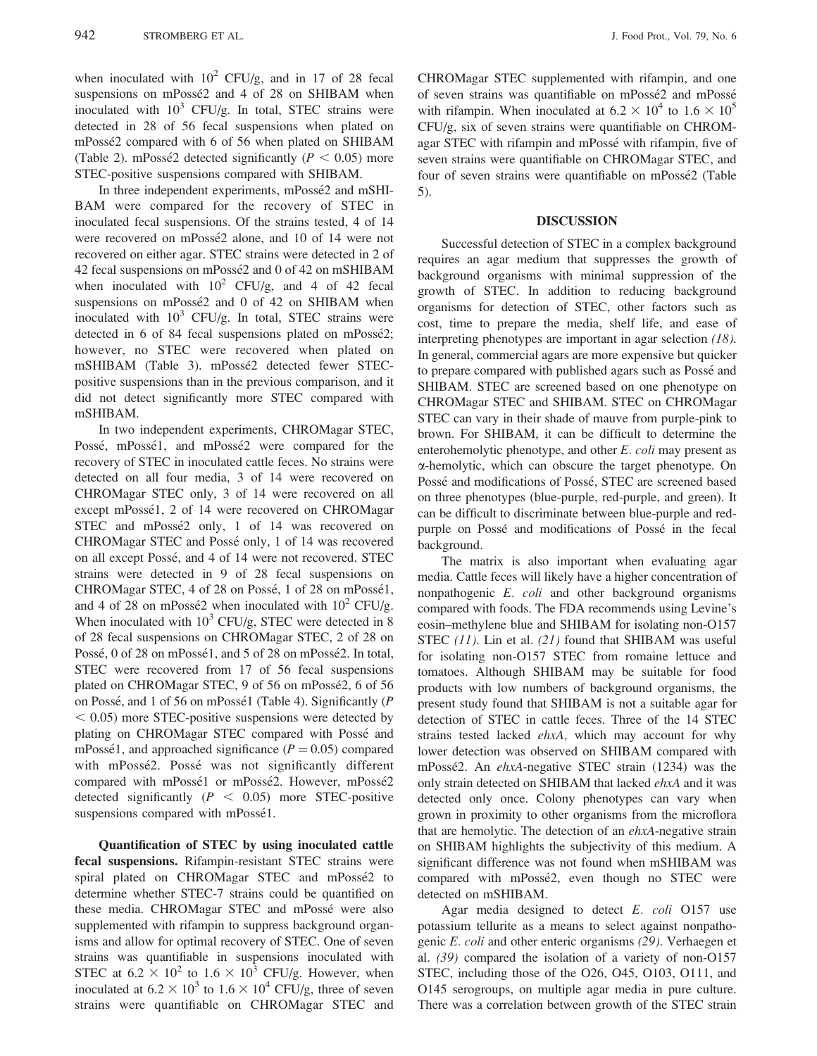when inoculated with  $10^2$  CFU/g, and in 17 of 28 fecal suspensions on mPossé2 and 4 of 28 on SHIBAM when inoculated with  $10^3$  CFU/g. In total, STEC strains were detected in 28 of 56 fecal suspensions when plated on mPossé2 compared with 6 of 56 when plated on SHIBAM (Table 2). mPossé2 detected significantly ( $P < 0.05$ ) more STEC-positive suspensions compared with SHIBAM.

In three independent experiments, mPossé2 and mSHI-BAM were compared for the recovery of STEC in inoculated fecal suspensions. Of the strains tested, 4 of 14 were recovered on mPossé2 alone, and 10 of 14 were not recovered on either agar. STEC strains were detected in 2 of 42 fecal suspensions on mPossé2 and 0 of 42 on mSHIBAM when inoculated with  $10^2$  CFU/g, and 4 of 42 fecal suspensions on mPossé2 and 0 of 42 on SHIBAM when inoculated with  $10<sup>3</sup>$  CFU/g. In total, STEC strains were detected in 6 of 84 fecal suspensions plated on mPossé2; however, no STEC were recovered when plated on mSHIBAM (Table 3). mPossé2 detected fewer STECpositive suspensions than in the previous comparison, and it did not detect significantly more STEC compared with mSHIBAM.

In two independent experiments, CHROMagar STEC, Possé, mPossé1, and mPossé2 were compared for the recovery of STEC in inoculated cattle feces. No strains were detected on all four media, 3 of 14 were recovered on CHROMagar STEC only, 3 of 14 were recovered on all except mPossé1, 2 of 14 were recovered on CHROMagar STEC and mPossé2 only, 1 of 14 was recovered on CHROMagar STEC and Possé only, 1 of 14 was recovered on all except Possé, and 4 of 14 were not recovered. STEC strains were detected in 9 of 28 fecal suspensions on CHROMagar STEC, 4 of 28 on Possé, 1 of 28 on mPossé1, and 4 of 28 on mPossé2 when inoculated with  $10^2$  CFU/g. When inoculated with  $10^3$  CFU/g, STEC were detected in 8 of 28 fecal suspensions on CHROMagar STEC, 2 of 28 on Possé, 0 of 28 on mPossé1, and 5 of 28 on mPossé2. In total, STEC were recovered from 17 of 56 fecal suspensions plated on CHROMagar STEC, 9 of 56 on mPossé2, 6 of 56 on Possé, and 1 of 56 on mPossé1 (Table 4). Significantly ( $P$  $<$  0.05) more STEC-positive suspensions were detected by plating on CHROMagar STEC compared with Possé and mPossé1, and approached significance ( $P = 0.05$ ) compared with mPossé2. Possé was not significantly different compared with mPossé1 or mPossé2. However, mPossé2 detected significantly ( $P < 0.05$ ) more STEC-positive suspensions compared with mPossé1.

Quantification of STEC by using inoculated cattle fecal suspensions. Rifampin-resistant STEC strains were spiral plated on CHROMagar STEC and mPossé2 to determine whether STEC-7 strains could be quantified on these media. CHROMagar STEC and mPossé were also supplemented with rifampin to suppress background organisms and allow for optimal recovery of STEC. One of seven strains was quantifiable in suspensions inoculated with STEC at  $6.2 \times 10^2$  to  $1.6 \times 10^3$  CFU/g. However, when inoculated at  $6.2 \times 10^3$  to  $1.6 \times 10^4$  CFU/g, three of seven strains were quantifiable on CHROMagar STEC and CHROMagar STEC supplemented with rifampin, and one of seven strains was quantifiable on mPossé2 and mPossé with rifampin. When inoculated at  $6.2 \times 10^4$  to  $1.6 \times 10^5$ CFU/g, six of seven strains were quantifiable on CHROMagar STEC with rifampin and mPossé with rifampin, five of seven strains were quantifiable on CHROMagar STEC, and four of seven strains were quantifiable on mPossé2 (Table 5).

# DISCUSSION

Successful detection of STEC in a complex background requires an agar medium that suppresses the growth of background organisms with minimal suppression of the growth of STEC. In addition to reducing background organisms for detection of STEC, other factors such as cost, time to prepare the media, shelf life, and ease of interpreting phenotypes are important in agar selection (18). In general, commercial agars are more expensive but quicker to prepare compared with published agars such as Possé and SHIBAM. STEC are screened based on one phenotype on CHROMagar STEC and SHIBAM. STEC on CHROMagar STEC can vary in their shade of mauve from purple-pink to brown. For SHIBAM, it can be difficult to determine the enterohemolytic phenotype, and other E. coli may present as a-hemolytic, which can obscure the target phenotype. On Possé and modifications of Possé, STEC are screened based on three phenotypes (blue-purple, red-purple, and green). It can be difficult to discriminate between blue-purple and redpurple on Possé and modifications of Possé in the fecal background.

The matrix is also important when evaluating agar media. Cattle feces will likely have a higher concentration of nonpathogenic E. coli and other background organisms compared with foods. The FDA recommends using Levine's eosin–methylene blue and SHIBAM for isolating non-O157 STEC  $(11)$ . Lin et al.  $(21)$  found that SHIBAM was useful for isolating non-O157 STEC from romaine lettuce and tomatoes. Although SHIBAM may be suitable for food products with low numbers of background organisms, the present study found that SHIBAM is not a suitable agar for detection of STEC in cattle feces. Three of the 14 STEC strains tested lacked ehxA, which may account for why lower detection was observed on SHIBAM compared with mPossé2. An  $ehxA$ -negative STEC strain (1234) was the only strain detected on SHIBAM that lacked ehxA and it was detected only once. Colony phenotypes can vary when grown in proximity to other organisms from the microflora that are hemolytic. The detection of an ehxA-negative strain on SHIBAM highlights the subjectivity of this medium. A significant difference was not found when mSHIBAM was compared with mPossé2, even though no STEC were detected on mSHIBAM.

Agar media designed to detect E. coli O157 use potassium tellurite as a means to select against nonpathogenic E. coli and other enteric organisms (29). Verhaegen et al. (39) compared the isolation of a variety of non-O157 STEC, including those of the O26, O45, O103, O111, and O145 serogroups, on multiple agar media in pure culture. There was a correlation between growth of the STEC strain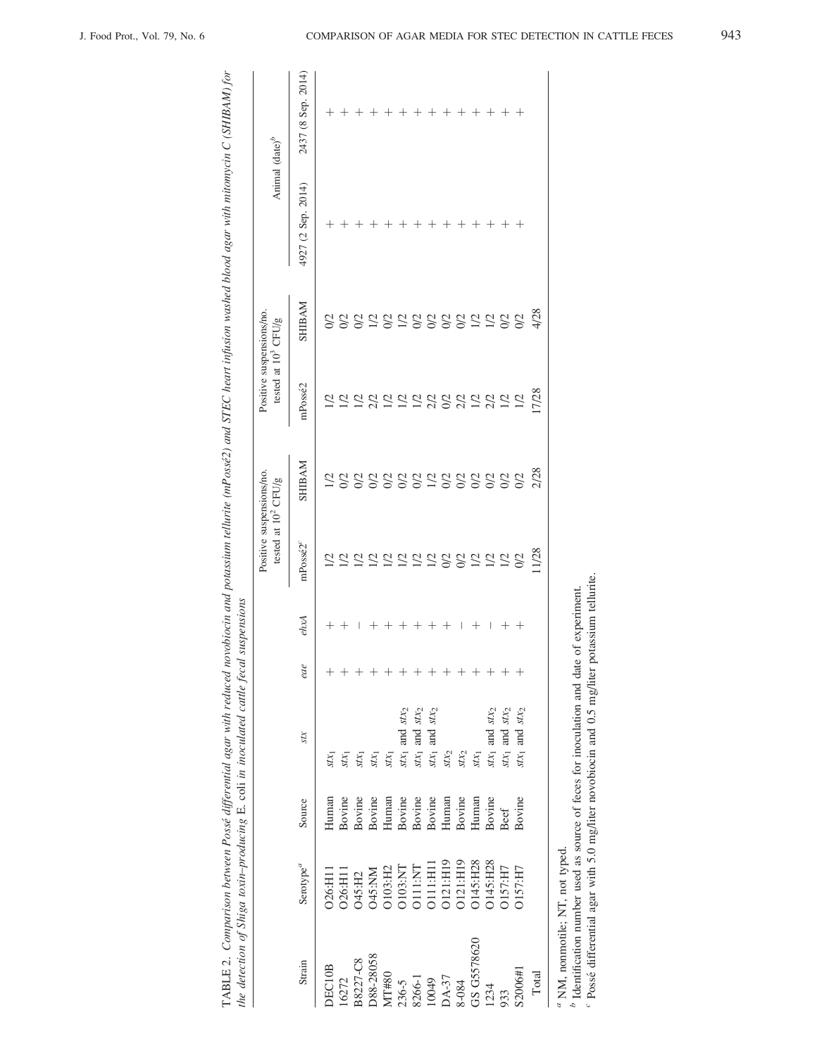| $\ddot{\zeta}$<br>$\overline{a}$                                                                            |                                               |
|-------------------------------------------------------------------------------------------------------------|-----------------------------------------------|
|                                                                                                             |                                               |
| 、くししく・                                                                                                      |                                               |
| a and                                                                                                       |                                               |
| L. 4                                                                                                        |                                               |
| į                                                                                                           |                                               |
| 1000<br>nou                                                                                                 | i                                             |
|                                                                                                             | i<br>i                                        |
| ١<br>of a disk count of any                                                                                 | 11 <i>in</i> inoculater<br>$\frac{1}{2}$<br>ľ |
| i                                                                                                           | $\sim$ cut $\sim$ t                           |
| .<br>Canada<br>ļ                                                                                            | $2.0100 \pm 0.0100$                           |
| i<br>I<br><b>TADIE</b><br>֦֧֦֧֦֧֦֧֦֧֦֧֦֧֦֧֦֧֦֧֦֧֦֧֦֧֧֧֧֧֧֦֧֦֧֦֧֦֧֦֧֦֧֦֧֦֧֧֧֧֚֚֚֚֚֚֚֚֚֚֚֚֚֚֚֚֚֚֚֕֡֘֓֓֓֓֓֓֓֓֓ | ì<br>į<br>J                                   |

|                                                                           |                                                                                                                                                                                                                                                       |                                                                                                                           |                                                                                                                                                                                                                                                                                                                                                                                                                                                                                                |     |      | Positive suspensions/no<br>tested at $102$ , | CFU/g          | tested at $103$ (                                                                                              | Positive suspensions/no<br>CFU/g |                    | Animal (date) <sup><i>p</i></sup> |
|---------------------------------------------------------------------------|-------------------------------------------------------------------------------------------------------------------------------------------------------------------------------------------------------------------------------------------------------|---------------------------------------------------------------------------------------------------------------------------|------------------------------------------------------------------------------------------------------------------------------------------------------------------------------------------------------------------------------------------------------------------------------------------------------------------------------------------------------------------------------------------------------------------------------------------------------------------------------------------------|-----|------|----------------------------------------------|----------------|----------------------------------------------------------------------------------------------------------------|----------------------------------|--------------------|-----------------------------------|
| Strain                                                                    | Serotype <sup>a</sup>                                                                                                                                                                                                                                 | Source                                                                                                                    | $S\mathcal{I}X$                                                                                                                                                                                                                                                                                                                                                                                                                                                                                | eae | ehxA | mPossé2°                                     | <b>NASHIRS</b> | mPossé2                                                                                                        | <b>NASHIRS</b>                   | 4927 (2 Sep. 2014) | 2437 (8 Sep. 2014)                |
| <b>DEC10B</b>                                                             | D26:H1                                                                                                                                                                                                                                                | Human                                                                                                                     | $\mathit{SK}_1$                                                                                                                                                                                                                                                                                                                                                                                                                                                                                |     |      |                                              | 1/2            |                                                                                                                |                                  |                    |                                   |
| 16272                                                                     | <b>D26:H11</b>                                                                                                                                                                                                                                        |                                                                                                                           |                                                                                                                                                                                                                                                                                                                                                                                                                                                                                                |     |      | $\geq$                                       | O <sup>2</sup> | $\overline{1/2}$                                                                                               |                                  |                    |                                   |
| 8227-C8                                                                   |                                                                                                                                                                                                                                                       | Bovine<br>Bovine<br>Bovine<br>Human<br>Bovine<br>Bovine<br>Bovine<br>Human<br>Human<br>Human<br>Bovine<br>Bovine<br>Human | $\begin{array}{l} \mathcal{R}\mathcal{F}_1 \\ \mathcal{R}\mathcal{F}_1 \\ \mathcal{R}\mathcal{F}_1 \\ \mathcal{R}\mathcal{F}_1 \\ \mathcal{R}\mathcal{F}_1 \\ \mathcal{R}\mathcal{F}_1 \\ \mathcal{R}\mathcal{F}_1 \\ \mathcal{R}\mathcal{F}_1 \\ \mathcal{R}\mathcal{F}_1 \\ \mathcal{R}\mathcal{F}_2 \\ \mathcal{R}\mathcal{F}_2 \\ \mathcal{R}\mathcal{F}_2 \\ \mathcal{R}\mathcal{F}_2 \\ \mathcal{R}\mathcal{F}_2 \\ \mathcal{R}\mathcal{F}_2 \\ \mathcal{R}\mathcal{F}_2 \\ \end{array}$ |     |      | $\geq$                                       | $5^{\circ}$    |                                                                                                                | S S S                            |                    |                                   |
| 88-28058                                                                  | $\begin{array}{l} \mathtt{A4:HB} \\ \mathtt{A4:NN} \\ \mathtt{A5:NN} \\ \mathtt{O103:H} \\ \mathtt{O103:N} \\ \mathtt{O111:H11} \\ \mathtt{O111:H11} \\ \mathtt{O111:H11} \\ \mathtt{O111:H11} \\ \mathtt{O111:H11} \\ \mathtt{O111:H11} \end{array}$ |                                                                                                                           |                                                                                                                                                                                                                                                                                                                                                                                                                                                                                                |     |      |                                              |                | 12 22 22 22 22 22 22 22 23 24 25 26 26 27 27 27 27 27 27 27 27 27 27 28 29 20 20 20 20 20 20 20 20 20 20 20 20 |                                  |                    |                                   |
| <b>NT#80</b>                                                              |                                                                                                                                                                                                                                                       |                                                                                                                           |                                                                                                                                                                                                                                                                                                                                                                                                                                                                                                |     |      |                                              | SSSS1SSSSSSS   |                                                                                                                | 12828881188                      |                    |                                   |
|                                                                           |                                                                                                                                                                                                                                                       |                                                                                                                           |                                                                                                                                                                                                                                                                                                                                                                                                                                                                                                |     |      |                                              |                |                                                                                                                |                                  |                    |                                   |
|                                                                           |                                                                                                                                                                                                                                                       |                                                                                                                           |                                                                                                                                                                                                                                                                                                                                                                                                                                                                                                |     |      |                                              |                |                                                                                                                |                                  |                    |                                   |
|                                                                           |                                                                                                                                                                                                                                                       |                                                                                                                           |                                                                                                                                                                                                                                                                                                                                                                                                                                                                                                |     |      |                                              |                |                                                                                                                |                                  |                    |                                   |
|                                                                           |                                                                                                                                                                                                                                                       |                                                                                                                           |                                                                                                                                                                                                                                                                                                                                                                                                                                                                                                |     |      |                                              |                |                                                                                                                |                                  |                    |                                   |
| 236-5<br>8266-1<br>10049<br>104-37<br>DA-37<br>63 GS578620<br>63 GS578620 | 0121:H19                                                                                                                                                                                                                                              |                                                                                                                           |                                                                                                                                                                                                                                                                                                                                                                                                                                                                                                |     |      |                                              |                |                                                                                                                |                                  |                    |                                   |
|                                                                           | 0145:H28                                                                                                                                                                                                                                              |                                                                                                                           |                                                                                                                                                                                                                                                                                                                                                                                                                                                                                                |     |      |                                              |                |                                                                                                                |                                  |                    |                                   |
|                                                                           | 0145:H28                                                                                                                                                                                                                                              |                                                                                                                           | and $stx_2$                                                                                                                                                                                                                                                                                                                                                                                                                                                                                    |     |      |                                              |                |                                                                                                                |                                  |                    |                                   |
| 933                                                                       | O157:H7                                                                                                                                                                                                                                               |                                                                                                                           | and $\textit{str}_2$<br>$\begin{bmatrix} 1 & 0 \\ 0 & 1 \\ 0 & 0 \\ 0 & 0 \\ 0 & 0 \\ 0 & 0 \\ 0 & 0 \\ 0 & 0 \\ 0 & 0 \\ 0 & 0 \\ 0 & 0 \\ 0 & 0 & 0 \\ 0 & 0 & 0 \\ 0 & 0 & 0 \\ 0 & 0 & 0 & 0 \\ 0 & 0 & 0 & 0 \\ 0 & 0 & 0 & 0 \\ 0 & 0 & 0 & 0 & 0 \\ 0 & 0 & 0 & 0 & 0 \\ 0 & 0 & 0 & 0 & 0 \\ 0 & 0 & 0 & 0 & 0 & 0 \\ 0 & 0 & 0 & 0 & 0 & 0 \\ 0 & $                                                                                                                                   |     |      |                                              |                |                                                                                                                |                                  |                    |                                   |
| S2006#1                                                                   | D157:H7                                                                                                                                                                                                                                               |                                                                                                                           | and $\ensuremath{\textit{str}}\xspace_2$<br>$SK_1$                                                                                                                                                                                                                                                                                                                                                                                                                                             |     |      | 12222822228                                  |                |                                                                                                                |                                  |                    |                                   |
| Total                                                                     |                                                                                                                                                                                                                                                       |                                                                                                                           |                                                                                                                                                                                                                                                                                                                                                                                                                                                                                                |     |      | 1/28                                         | 2/28           | 17/28                                                                                                          | 4/28                             |                    |                                   |
| $\frac{1}{2}$                                                             | $\frac{1}{2}$                                                                                                                                                                                                                                         |                                                                                                                           |                                                                                                                                                                                                                                                                                                                                                                                                                                                                                                |     |      |                                              |                |                                                                                                                |                                  |                    |                                   |

NM, nonmotile; NT, not typed.

abc Identification number used as source of feces for inoculation and date of experiment. Poss´e differential agar with 5.0 mg/liter novobiocin and 0.5 mg/liter potassium tellurite.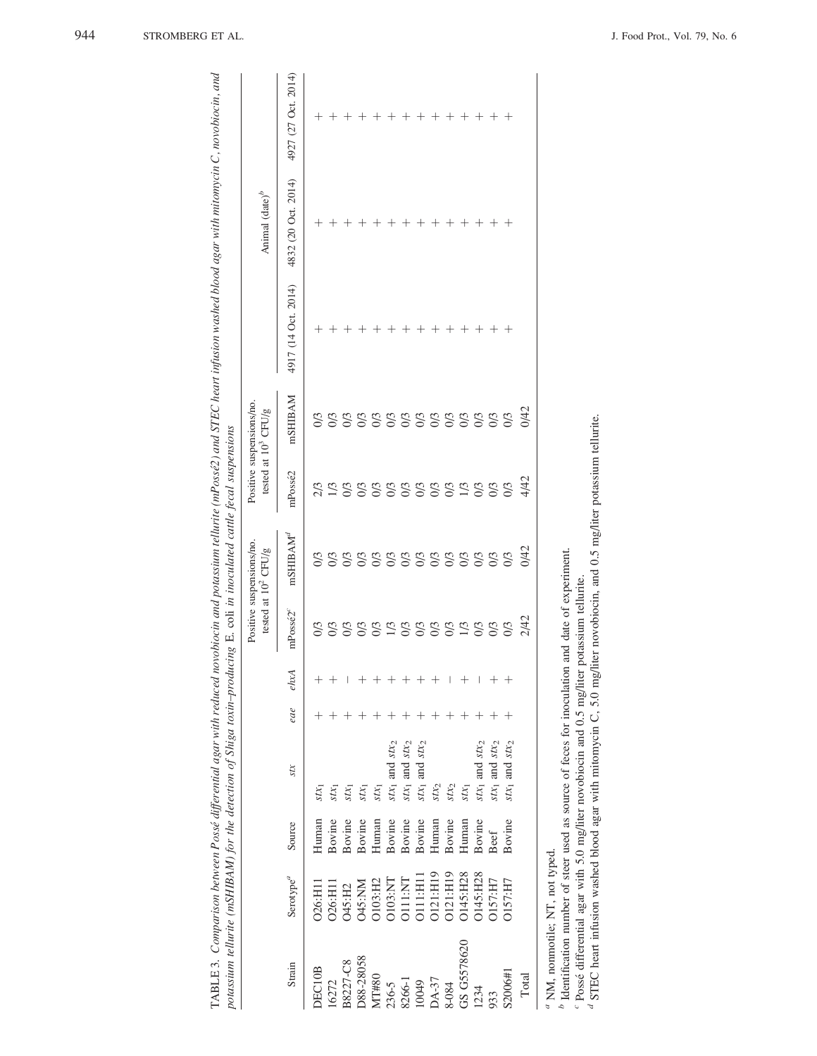|             |                       |             |                            |     |      |                                                                                                                                                                                                                                                                                                                                                                                                                                  | Positive suspensions/no.<br>tested at $10^2$ CFU/g |               | Positive suspensions/no.<br>tested at 10 <sup>3</sup> CFU/g |                     | Animal ${\rm (date)}^b$ |                     |
|-------------|-----------------------|-------------|----------------------------|-----|------|----------------------------------------------------------------------------------------------------------------------------------------------------------------------------------------------------------------------------------------------------------------------------------------------------------------------------------------------------------------------------------------------------------------------------------|----------------------------------------------------|---------------|-------------------------------------------------------------|---------------------|-------------------------|---------------------|
| Strain      | Serotype <sup>a</sup> | Source      | stx                        | eae | ehxA | mPossé2 <sup>c</sup>                                                                                                                                                                                                                                                                                                                                                                                                             | mSHIBAM <sup>d</sup>                               | mPossé2       | <b>mSHIBAM</b>                                              | 4917 (14 Oct. 2014) | 4832 (20 Oct. 2014)     | 4927 (27 Oct. 2014) |
| DEC10B      | <b>D26:H1</b>         | Human       | $\mathfrak{X}_1$           |     |      |                                                                                                                                                                                                                                                                                                                                                                                                                                  |                                                    |               |                                                             |                     |                         |                     |
| 16272       | O26:H11               | Bovine      | $\delta X_1$               |     |      |                                                                                                                                                                                                                                                                                                                                                                                                                                  | $\mathcal{O}$                                      | 1/3           | 0/3                                                         |                     |                         |                     |
| B8227-C8    | <b>O45:H2</b>         | Bovine      | $\mathfrak{sk}_1$          |     |      |                                                                                                                                                                                                                                                                                                                                                                                                                                  | 0/3                                                | $\mathcal{S}$ |                                                             |                     |                         |                     |
| D88-28058   | <b>MN:SFO</b>         | Bovine      | $\mathfrak{X}_1$           |     |      | $\begin{array}{l} \mathbb{S} \ \mathbb{S} \ \mathbb{S} \ \mathbb{S} \ \mathbb{S} \ \mathbb{S} \ \mathbb{S} \ \mathbb{S} \ \mathbb{S} \ \mathbb{S} \ \mathbb{S} \ \mathbb{S} \ \mathbb{S} \ \mathbb{S} \ \mathbb{S} \ \mathbb{S} \ \mathbb{S} \ \mathbb{S} \ \mathbb{S} \ \mathbb{S} \ \mathbb{S} \ \mathbb{S} \ \mathbb{S} \ \mathbb{S} \ \mathbb{S} \ \mathbb{S} \ \mathbb{S} \ \mathbb{S} \ \mathbb{S} \ \mathbb{S} \ \mathbb$ | 0/3                                                | $\mathcal{S}$ | SSSSSSSSSS                                                  |                     |                         |                     |
| MT#80       | O103:H2               | Human       | $SL_1$                     |     |      |                                                                                                                                                                                                                                                                                                                                                                                                                                  | 0/3                                                |               |                                                             |                     |                         |                     |
| 236-5       | <b>D103:NT</b>        | Bovine      | $str1$ and $str2$          |     |      |                                                                                                                                                                                                                                                                                                                                                                                                                                  |                                                    |               |                                                             |                     |                         |                     |
| 8266-1      | <b>DI11:NT</b>        | Bovine      | $str1$ and $str2$          |     |      |                                                                                                                                                                                                                                                                                                                                                                                                                                  |                                                    |               |                                                             |                     |                         |                     |
| 10049       | 0111:111              | Bovine      | $str1$ and $str2$          |     |      |                                                                                                                                                                                                                                                                                                                                                                                                                                  | \$35                                               | SSSSSSS       |                                                             |                     |                         |                     |
| $DA-37$     | 0121:H19              | Human       | $\mathcal{S}\mathcal{U}_2$ |     |      |                                                                                                                                                                                                                                                                                                                                                                                                                                  | 0/3                                                |               |                                                             |                     | $^{\mathrm{+}}$         |                     |
| 8-084       | 0121:H19              | Bovine      | $S\mathcal{U}_2$           |     |      |                                                                                                                                                                                                                                                                                                                                                                                                                                  | 0/3                                                |               |                                                             |                     |                         |                     |
| GS G5578620 | O145:H28              | Human       | $\mathfrak{X}_1$           |     |      |                                                                                                                                                                                                                                                                                                                                                                                                                                  | 0/3                                                |               |                                                             |                     |                         |                     |
| 1234        | D145:H28              | Bovine      | $str1$ and $str2$          |     |      |                                                                                                                                                                                                                                                                                                                                                                                                                                  | 0/3                                                | 0/3           |                                                             |                     |                         |                     |
| 933         | <b>CH37:H7</b>        | <b>Beef</b> | $str1$ and $str2$          |     |      | OS                                                                                                                                                                                                                                                                                                                                                                                                                               | $\mathcal{S}$                                      | $\mathcal{S}$ | 0/3                                                         |                     |                         |                     |
| S2006#1     | D157:H7               | Bovine      | $str1$ and $str2$          |     |      | 0/3                                                                                                                                                                                                                                                                                                                                                                                                                              | $\mathcal{S}$                                      | 0/3           | 0/3                                                         | $^+$                | $^+$                    | $^+$                |
| Total       |                       |             |                            |     |      | 2/42                                                                                                                                                                                                                                                                                                                                                                                                                             | 0/42                                               | 4/42          | 0/42                                                        |                     |                         |                     |

Identification number of steer used as source of feces for inoculation and date of experiment.

 $c$  Possé differential agar with 5.0 mg/liter novobiocin and 0.5 mg/liter potassium tellurite.  $\epsilon$  Possé differential agar with 5.0 mg/liter novobiocin and 0.5 mg/liter potassium tellurite.

 $d$  STEC heart infusion washed blood agar with mitomycin C, 5.0 mg/liter novobiocin, and 0.5 mg/liter potassium tellurite. STEC heart infusion washed blood agar with mitomycin C, 5.0 mg/liter novobiocin, and 0.5 mg/liter potassium tellurite.

TABLE 3. Comparison between Poss´e differential agar with reduced novobiocin and potassium tellurite (mPoss´e2) and STEC heart infusion washed blood agar with mitomycin C, novobiocin, and

TABLE 3. Comparison between Possé differential agar with reduced novobiocin and potassium tellurite (mPossé2) and STEC heart infusion washed blood agar with mitomycin C, novobiocin, and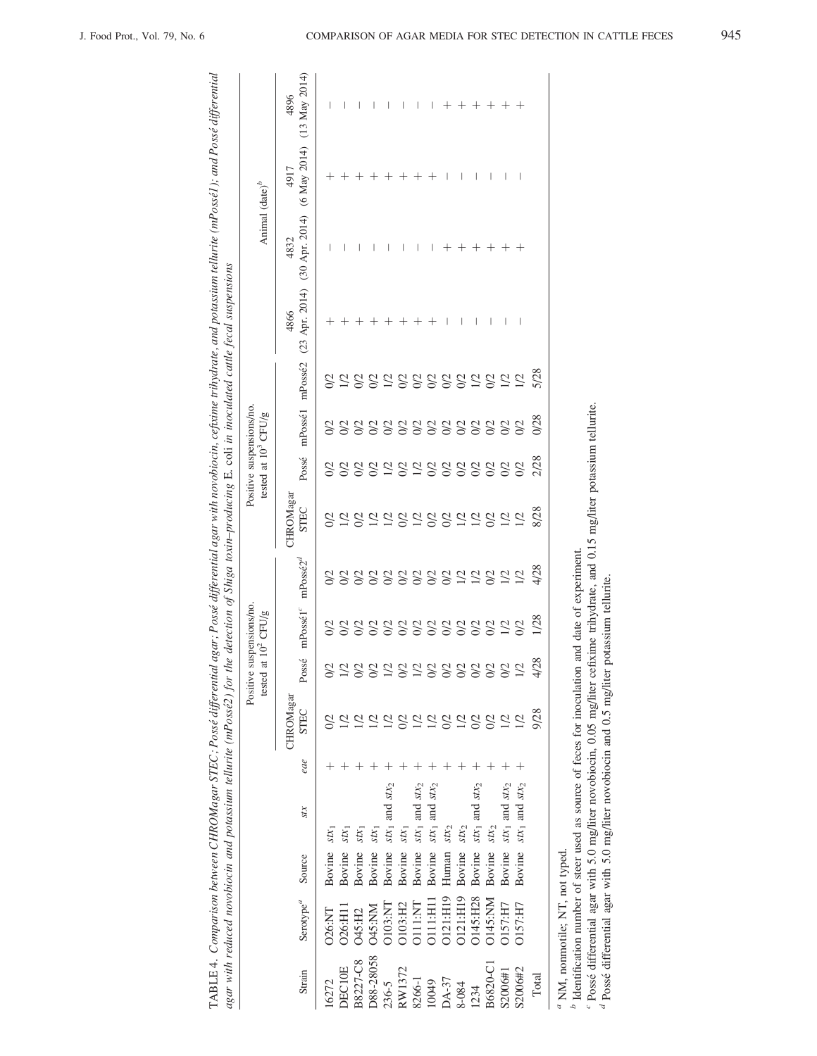| ţ<br>į<br>$\ddot{\phantom{a}}$<br>i<br>I<br>5.55<br>š<br>$\sim$<br>ŝ<br>j<br>$T$ of $T$ $T$ $T$ $T$ $T$<br>Curric<br>I | ļ<br>$\ddot{\phantom{0}}$<br>I<br>¢<br>へんきょう<br>I<br>i |  |
|------------------------------------------------------------------------------------------------------------------------|--------------------------------------------------------|--|
|                                                                                                                        |                                                        |  |

|                                                                  |                       |        |                                                                               |     |             | Positive<br>tested | suspensions/no.<br>at $10^2$ CFU/g              |             |                 | tested at 10 <sup>-3</sup> CFU/g | Positive suspensions/no. |                |                                                                                | Animal (date) <sup><i>b</i></sup> |      |      |
|------------------------------------------------------------------|-----------------------|--------|-------------------------------------------------------------------------------|-----|-------------|--------------------|-------------------------------------------------|-------------|-----------------|----------------------------------|--------------------------|----------------|--------------------------------------------------------------------------------|-----------------------------------|------|------|
|                                                                  |                       |        |                                                                               |     | CHROMagar   |                    |                                                 |             | <b>CHROMaga</b> |                                  |                          |                | 4866                                                                           | 4832                              | 4917 | 4896 |
| Strain                                                           | Serotype <sup>a</sup> | Source | sіх                                                                           | eae | <b>STEC</b> |                    | Possé mPossé1 <sup>c</sup> mPossé2 <sup>d</sup> |             | <b>STEC</b>     |                                  |                          |                | Possé mPossé1 mPossé2 (23 Apr. 2014) (30 Apr. 2014) (6 May 2014) (13 May 2014) |                                   |      |      |
| 16272                                                            | <b>D26:NT</b>         | Bovine | $SLX_1$                                                                       |     |             | ۲J                 | $\Im$                                           | $\Im$       | $\Im$           | S                                | $\Im$                    | $\mathcal{S}$  |                                                                                |                                   |      | ı    |
| <b>DEC10E</b>                                                    | O26:H1                | Bovine | $SX_1$                                                                        |     |             |                    |                                                 |             |                 |                                  |                          |                |                                                                                |                                   |      |      |
| B8227-C8                                                         | <b>O45:H2</b>         | Bovine | $SLX_1$                                                                       |     |             | $\frac{2}{2}$      |                                                 | $rac{2}{5}$ |                 |                                  |                          |                |                                                                                |                                   |      |      |
| D88-28058                                                        | <b>NN:SFO</b>         | Bovine | $SX_1$                                                                        |     |             |                    |                                                 | $rac{2}{5}$ |                 |                                  |                          |                |                                                                                |                                   |      |      |
| 236-5                                                            | D103:NT               | Bovine | $str1$ and $str2$                                                             |     |             | $rac{0}{2}$        |                                                 |             |                 |                                  |                          |                |                                                                                |                                   |      |      |
| RW1372                                                           | D103:H2               | Bovine | $\mathcal{SK}_1$                                                              |     |             | 0/2                |                                                 |             |                 |                                  |                          |                |                                                                                |                                   |      |      |
| 8266-1                                                           | <b>TN:TIC</b>         | Bovine | $\ensuremath{\textit{str}}\xspace_1$ and $\ensuremath{\textit{str}}\xspace_2$ |     |             | 1/2                | SSSSSSSSSSSSS                                   | 2222222     | 12021022881281  | 2882828888888                    | SSSSSSSSSSSSSS           | 12822888881812 |                                                                                | I                                 |      | I    |
| 10049                                                            | 01111111              | Bovine | $str1$ and $str2$                                                             |     |             | 0/2                |                                                 |             |                 |                                  |                          |                |                                                                                | I                                 |      | I    |
| DA-37                                                            | 0121:H19              | Human  | $Stx_2$                                                                       |     |             | 0/2                |                                                 |             |                 |                                  |                          |                |                                                                                |                                   |      |      |
| 8-084                                                            | 0121:H19              | Bovine | $Stx_2$                                                                       |     |             | 0/2                |                                                 |             |                 |                                  |                          |                | I                                                                              |                                   |      |      |
| 1234                                                             | O145:H28              | Bovine | $str1$ and $str2$                                                             |     | $\Im$       | $rac{2}{0}$        |                                                 |             |                 |                                  |                          |                |                                                                                |                                   |      |      |
| B6820-C1                                                         | <b>MN:StIO</b>        | Bovine | SLX <sub>2</sub>                                                              |     | $\Im$       |                    |                                                 |             |                 |                                  |                          |                |                                                                                |                                   |      |      |
| S2006#1                                                          | D157:H7               | Bovine | $\ensuremath{\textit{str}}\xspace_1$ and $\ensuremath{\textit{str}}\xspace_2$ |     | 1/2         | 0/2                |                                                 | 1/2         |                 |                                  |                          |                | I                                                                              |                                   | I    |      |
| S2006#2                                                          | <b>CHECIO</b>         | Bovine | $stx_1$ and $stx_2$                                                           |     | 1/2         |                    | O <sup>2</sup>                                  | 1/2         | $1/2$           |                                  |                          |                | I                                                                              |                                   | I    |      |
| Total                                                            |                       |        |                                                                               |     | 9/28        | 4/28               | 1/28                                            | 4/28        | 8/28            | 2/28                             | 5/28                     | 5/28           |                                                                                |                                   |      |      |
| $\alpha$ MM $\alpha$ and $\alpha$ is in MT $\alpha$ and $\alpha$ |                       |        |                                                                               |     |             |                    |                                                 |             |                 |                                  |                          |                |                                                                                |                                   |      |      |

NM, nonmotile; NT, not typed. NM, nonmotile; NT, not typed.

 $b$  Identification number of steer used as source of feces for inoculation and date of experiment. Identification number of steer used as source of feces for inoculation and date of experiment.

 $\alpha$  Possé differential agar with 5.0 mg/liter novobiocin, 0.05 mg/liter cefixime trihydrate, and 0.15 mg/liter potassium tellurite.<br> $\alpha$  Possé differential agar with 5.0 mg/liter novobiocin and 0.5 mg/liter potassium tel <sup>c</sup> Possé differential agar with 5.0 mg/liter novobiocin, 0.05 mg/liter cefixime trihydrate, and 0.15 mg/liter potassium tellurite.<br><sup>d</sup> Possé differential agar with 5.0 mg/liter novobiocin and 0.5 mg/liter potassium tellur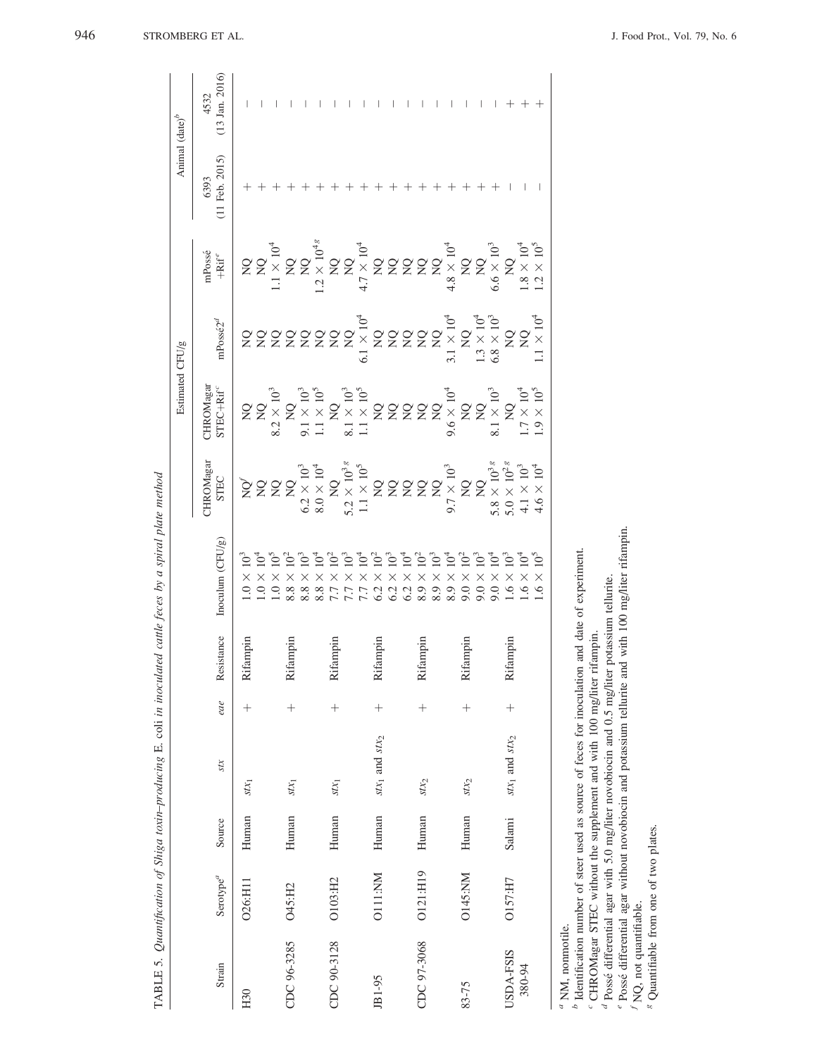| 4532<br>11 Feb. 2015)<br>6393<br>mPossé<br>$+{\rm Ri} f^e$<br>mPossé2 <sup>d</sup><br>CHROMagar<br>STEC+Rif <sup>®</sup><br>$\begin{array}{l} \tt{XQ} \\ \tt{XQ} \\ \tt{XQ} \\ \tt{XQ} \\ \tt{XQ} \\ \tt{XQ} \\ \tt{XQ} \\ \tt{XQ} \\ \tt{XQ} \\ \tt{XQ} \\ \tt{XQ} \\ \tt{XQ} \\ \tt{XQ} \\ \tt{XQ} \\ \tt{XQ} \\ \tt{XQ} \\ \tt{XQ} \\ \tt{XQ} \\ \tt{XQ} \\ \tt{XQ} \\ \tt{XQ} \\ \tt{XQ} \\ \tt{XQ} \\ \tt{XQ} \\ \tt{XQ} \\ \tt{XQ} \\ \tt{XQ} \\ \tt{XQ} \\ \tt{XQ} \\ \tt{XQ} \\ \tt{$<br>CHROMagar<br>$-6 \times 10^4$<br>STEC<br>Inoculum $(CFU/g)$<br>$10^5$<br>$1.0 \times 10^{4}$<br>$1.0 \times 10^{3}$<br>$\overline{O}^4$<br>$\tilde{\mathsf{C}}$<br>ີ⊆<br>فآ<br>$\tilde{\mathsf{C}}$<br>ق<br>10 <sup>2</sup><br>$\bar{\mathsf{C}}$<br>$\tilde{P}$<br>10 <sup>3</sup><br>10 <sup>2</sup><br>$\overline{O}^4$<br>פׁ<br>10 <sup>2</sup><br>$\sum_{i=1}^{n}$<br>$\subseteq$<br>$\times$ 9<br>$1.0 \times$<br>$1.6 \times$<br>$\times$<br>$\times$<br>$9.0 \times$<br>$\times$<br>$\times$<br>$\times$<br>$9.0 \times$<br>$\times$<br>$\times$<br>$\times$<br>$\times$<br>X<br>$\times$<br>X<br>$\times$<br>$\ddot{\circ}$<br>8.8<br>0.6<br>8.8<br>8.8<br>8.9<br>8.9<br>6.2<br>6.2<br>6.2<br>$\overline{L}$<br>8.9<br>7.7<br>7.7<br>Resistance<br>mpin<br>npin<br>Rifampin<br>Rifampin<br>npin<br>Rifampin<br>npın<br>Rifan<br>Rifan<br>Rifan<br>Rifan<br>eae<br>$^{+}$<br>$^{+}$<br>$^{+}$<br>$^{+}$<br>$^{+}$<br>$^{+}$<br>$^{+}$<br>$\ensuremath{\textit{str}}\xspace_1$ and $\ensuremath{\textit{str}}\xspace_2$<br>$\mathit{stx}_1$ and $\mathit{stx}_2$<br>$S\mathcal{I}X$<br>$\mathcal{S}\mathcal{L}\mathcal{N}_{2}$<br>SLX <sub>2</sub><br>$\mathit{SL}_1$<br>$\mathfrak{X} \mathfrak{X}_1$<br>$Stx_1$<br>Human<br>Human<br>Human<br>Human<br>Human<br>Human<br>Salami<br>Source<br>0121:H19<br><b>D145:NM</b><br><b>MN:TIO</b><br>Serotype <sup>a</sup><br>O103:H2<br>O157:H7<br>O26:H11<br><b>O45:H2</b><br>CDC 96-3285<br>CDC 90-3128<br>CDC 97-3068<br>USDA-FSIS<br>Strain<br>380-94<br>JB1-95<br>83-75<br>H30 |  |  |  |  | Estimated CFU/g |  | Animal (date) <sup><i>b</i></sup> |                           |
|---------------------------------------------------------------------------------------------------------------------------------------------------------------------------------------------------------------------------------------------------------------------------------------------------------------------------------------------------------------------------------------------------------------------------------------------------------------------------------------------------------------------------------------------------------------------------------------------------------------------------------------------------------------------------------------------------------------------------------------------------------------------------------------------------------------------------------------------------------------------------------------------------------------------------------------------------------------------------------------------------------------------------------------------------------------------------------------------------------------------------------------------------------------------------------------------------------------------------------------------------------------------------------------------------------------------------------------------------------------------------------------------------------------------------------------------------------------------------------------------------------------------------------------------------------------------------------------------------------------------------------------------------------------------------------------------------------------------------------------------------------------------------------------------------------------------------------------------------------------------------------------------------------------------------------------------------------------------------------------------------------------------------------------|--|--|--|--|-----------------|--|-----------------------------------|---------------------------|
|                                                                                                                                                                                                                                                                                                                                                                                                                                                                                                                                                                                                                                                                                                                                                                                                                                                                                                                                                                                                                                                                                                                                                                                                                                                                                                                                                                                                                                                                                                                                                                                                                                                                                                                                                                                                                                                                                                                                                                                                                                       |  |  |  |  |                 |  |                                   | $(13 \text{ Jan. } 2016)$ |
|                                                                                                                                                                                                                                                                                                                                                                                                                                                                                                                                                                                                                                                                                                                                                                                                                                                                                                                                                                                                                                                                                                                                                                                                                                                                                                                                                                                                                                                                                                                                                                                                                                                                                                                                                                                                                                                                                                                                                                                                                                       |  |  |  |  |                 |  |                                   |                           |
|                                                                                                                                                                                                                                                                                                                                                                                                                                                                                                                                                                                                                                                                                                                                                                                                                                                                                                                                                                                                                                                                                                                                                                                                                                                                                                                                                                                                                                                                                                                                                                                                                                                                                                                                                                                                                                                                                                                                                                                                                                       |  |  |  |  |                 |  |                                   |                           |
|                                                                                                                                                                                                                                                                                                                                                                                                                                                                                                                                                                                                                                                                                                                                                                                                                                                                                                                                                                                                                                                                                                                                                                                                                                                                                                                                                                                                                                                                                                                                                                                                                                                                                                                                                                                                                                                                                                                                                                                                                                       |  |  |  |  |                 |  |                                   |                           |
|                                                                                                                                                                                                                                                                                                                                                                                                                                                                                                                                                                                                                                                                                                                                                                                                                                                                                                                                                                                                                                                                                                                                                                                                                                                                                                                                                                                                                                                                                                                                                                                                                                                                                                                                                                                                                                                                                                                                                                                                                                       |  |  |  |  |                 |  |                                   |                           |
|                                                                                                                                                                                                                                                                                                                                                                                                                                                                                                                                                                                                                                                                                                                                                                                                                                                                                                                                                                                                                                                                                                                                                                                                                                                                                                                                                                                                                                                                                                                                                                                                                                                                                                                                                                                                                                                                                                                                                                                                                                       |  |  |  |  |                 |  |                                   |                           |
|                                                                                                                                                                                                                                                                                                                                                                                                                                                                                                                                                                                                                                                                                                                                                                                                                                                                                                                                                                                                                                                                                                                                                                                                                                                                                                                                                                                                                                                                                                                                                                                                                                                                                                                                                                                                                                                                                                                                                                                                                                       |  |  |  |  |                 |  |                                   |                           |
|                                                                                                                                                                                                                                                                                                                                                                                                                                                                                                                                                                                                                                                                                                                                                                                                                                                                                                                                                                                                                                                                                                                                                                                                                                                                                                                                                                                                                                                                                                                                                                                                                                                                                                                                                                                                                                                                                                                                                                                                                                       |  |  |  |  |                 |  |                                   |                           |
|                                                                                                                                                                                                                                                                                                                                                                                                                                                                                                                                                                                                                                                                                                                                                                                                                                                                                                                                                                                                                                                                                                                                                                                                                                                                                                                                                                                                                                                                                                                                                                                                                                                                                                                                                                                                                                                                                                                                                                                                                                       |  |  |  |  |                 |  |                                   |                           |
|                                                                                                                                                                                                                                                                                                                                                                                                                                                                                                                                                                                                                                                                                                                                                                                                                                                                                                                                                                                                                                                                                                                                                                                                                                                                                                                                                                                                                                                                                                                                                                                                                                                                                                                                                                                                                                                                                                                                                                                                                                       |  |  |  |  |                 |  |                                   |                           |
|                                                                                                                                                                                                                                                                                                                                                                                                                                                                                                                                                                                                                                                                                                                                                                                                                                                                                                                                                                                                                                                                                                                                                                                                                                                                                                                                                                                                                                                                                                                                                                                                                                                                                                                                                                                                                                                                                                                                                                                                                                       |  |  |  |  |                 |  |                                   |                           |
|                                                                                                                                                                                                                                                                                                                                                                                                                                                                                                                                                                                                                                                                                                                                                                                                                                                                                                                                                                                                                                                                                                                                                                                                                                                                                                                                                                                                                                                                                                                                                                                                                                                                                                                                                                                                                                                                                                                                                                                                                                       |  |  |  |  |                 |  |                                   |                           |
|                                                                                                                                                                                                                                                                                                                                                                                                                                                                                                                                                                                                                                                                                                                                                                                                                                                                                                                                                                                                                                                                                                                                                                                                                                                                                                                                                                                                                                                                                                                                                                                                                                                                                                                                                                                                                                                                                                                                                                                                                                       |  |  |  |  |                 |  |                                   |                           |
|                                                                                                                                                                                                                                                                                                                                                                                                                                                                                                                                                                                                                                                                                                                                                                                                                                                                                                                                                                                                                                                                                                                                                                                                                                                                                                                                                                                                                                                                                                                                                                                                                                                                                                                                                                                                                                                                                                                                                                                                                                       |  |  |  |  |                 |  |                                   |                           |
|                                                                                                                                                                                                                                                                                                                                                                                                                                                                                                                                                                                                                                                                                                                                                                                                                                                                                                                                                                                                                                                                                                                                                                                                                                                                                                                                                                                                                                                                                                                                                                                                                                                                                                                                                                                                                                                                                                                                                                                                                                       |  |  |  |  |                 |  |                                   |                           |
|                                                                                                                                                                                                                                                                                                                                                                                                                                                                                                                                                                                                                                                                                                                                                                                                                                                                                                                                                                                                                                                                                                                                                                                                                                                                                                                                                                                                                                                                                                                                                                                                                                                                                                                                                                                                                                                                                                                                                                                                                                       |  |  |  |  |                 |  |                                   |                           |
|                                                                                                                                                                                                                                                                                                                                                                                                                                                                                                                                                                                                                                                                                                                                                                                                                                                                                                                                                                                                                                                                                                                                                                                                                                                                                                                                                                                                                                                                                                                                                                                                                                                                                                                                                                                                                                                                                                                                                                                                                                       |  |  |  |  |                 |  |                                   |                           |
|                                                                                                                                                                                                                                                                                                                                                                                                                                                                                                                                                                                                                                                                                                                                                                                                                                                                                                                                                                                                                                                                                                                                                                                                                                                                                                                                                                                                                                                                                                                                                                                                                                                                                                                                                                                                                                                                                                                                                                                                                                       |  |  |  |  |                 |  |                                   |                           |
|                                                                                                                                                                                                                                                                                                                                                                                                                                                                                                                                                                                                                                                                                                                                                                                                                                                                                                                                                                                                                                                                                                                                                                                                                                                                                                                                                                                                                                                                                                                                                                                                                                                                                                                                                                                                                                                                                                                                                                                                                                       |  |  |  |  |                 |  |                                   |                           |
|                                                                                                                                                                                                                                                                                                                                                                                                                                                                                                                                                                                                                                                                                                                                                                                                                                                                                                                                                                                                                                                                                                                                                                                                                                                                                                                                                                                                                                                                                                                                                                                                                                                                                                                                                                                                                                                                                                                                                                                                                                       |  |  |  |  |                 |  |                                   |                           |
|                                                                                                                                                                                                                                                                                                                                                                                                                                                                                                                                                                                                                                                                                                                                                                                                                                                                                                                                                                                                                                                                                                                                                                                                                                                                                                                                                                                                                                                                                                                                                                                                                                                                                                                                                                                                                                                                                                                                                                                                                                       |  |  |  |  |                 |  |                                   |                           |
|                                                                                                                                                                                                                                                                                                                                                                                                                                                                                                                                                                                                                                                                                                                                                                                                                                                                                                                                                                                                                                                                                                                                                                                                                                                                                                                                                                                                                                                                                                                                                                                                                                                                                                                                                                                                                                                                                                                                                                                                                                       |  |  |  |  |                 |  |                                   |                           |

 $\prescript{a}{\text{NM}}$  , nonmotile. NM, nonmotile.

 $b$  Identification number of steer used as source of feces for inoculation and date of experiment. Identification number of steer used as source of feces for inoculation and date of experiment. CHROMagar STEC without the supplement and with 100 mg/liter rifampin. CHROMagar STEC without the supplement and with 100 mg/liter rifampin.

 $d$  Possé differential agar with 5.0 mg/liter novobiocin and 0.5 mg/liter potassium tellurite.<br>  $\frac{d}{dx}$  Possé differential agar without novobiocin and potassium tellurite and with 100 mg/liter rifampin.

<sup>a</sup> Possé differential agar with 5.0 mg/liter novobiocin and 0.5 mg/liter potassium tellurite.<br><sup>e</sup> Possé differential agar without novobiocin and potassium tellurite and with 100 mg/liter rifampin.<br><sup>f</sup> NQ, not quantifiable

 $\frac{1}{2}$  NQ, not quantifiable.<br><sup>8</sup> Quantifiable from one of two plates. <sup>g</sup> Quantifiable from one of two plates.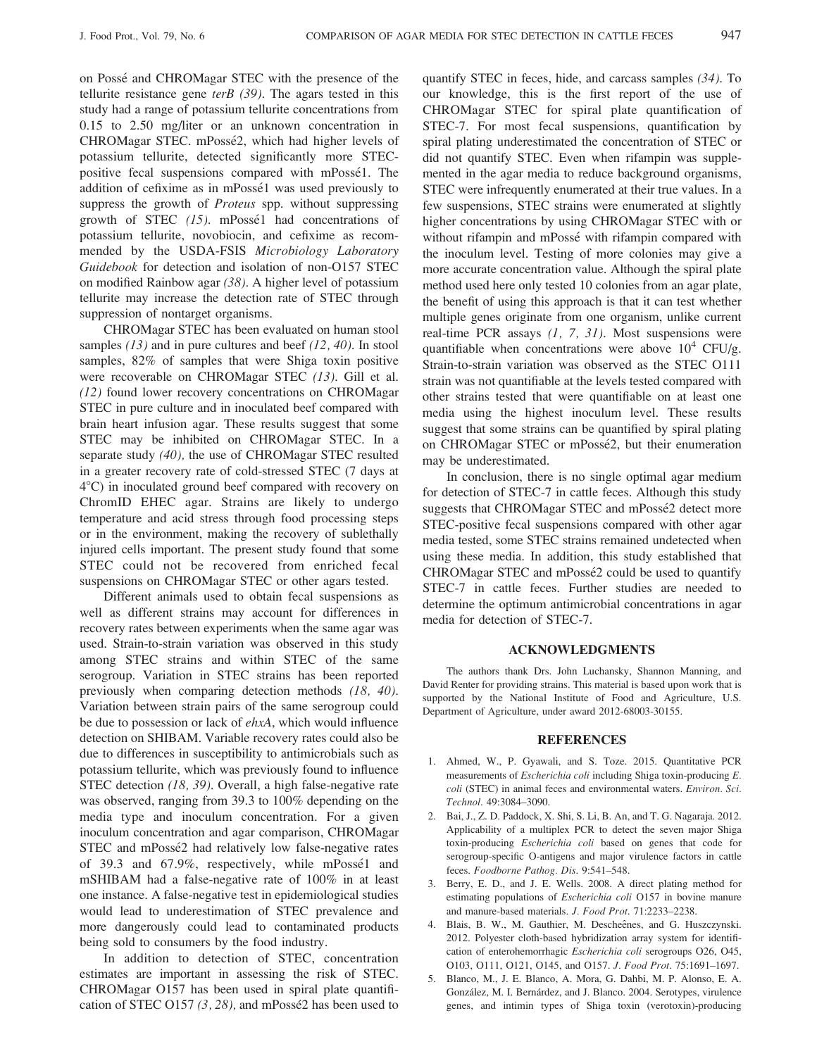on Possé and CHROMagar STEC with the presence of the tellurite resistance gene  $terB$  (39). The agars tested in this study had a range of potassium tellurite concentrations from 0.15 to 2.50 mg/liter or an unknown concentration in CHROMagar STEC. mPossé2, which had higher levels of potassium tellurite, detected significantly more STECpositive fecal suspensions compared with mPosse1. The ´ addition of cefixime as in mPossé1 was used previously to suppress the growth of *Proteus* spp. without suppressing growth of STEC  $(15)$ . mPossé1 had concentrations of potassium tellurite, novobiocin, and cefixime as recommended by the USDA-FSIS Microbiology Laboratory Guidebook for detection and isolation of non-O157 STEC on modified Rainbow agar (38). A higher level of potassium tellurite may increase the detection rate of STEC through suppression of nontarget organisms.

CHROMagar STEC has been evaluated on human stool samples (13) and in pure cultures and beef (12, 40). In stool samples, 82% of samples that were Shiga toxin positive were recoverable on CHROMagar STEC (13). Gill et al. (12) found lower recovery concentrations on CHROMagar STEC in pure culture and in inoculated beef compared with brain heart infusion agar. These results suggest that some STEC may be inhibited on CHROMagar STEC. In a separate study (40), the use of CHROMagar STEC resulted in a greater recovery rate of cold-stressed STEC (7 days at  $4^{\circ}$ C) in inoculated ground beef compared with recovery on ChromID EHEC agar. Strains are likely to undergo temperature and acid stress through food processing steps or in the environment, making the recovery of sublethally injured cells important. The present study found that some STEC could not be recovered from enriched fecal suspensions on CHROMagar STEC or other agars tested.

Different animals used to obtain fecal suspensions as well as different strains may account for differences in recovery rates between experiments when the same agar was used. Strain-to-strain variation was observed in this study among STEC strains and within STEC of the same serogroup. Variation in STEC strains has been reported previously when comparing detection methods (18, 40). Variation between strain pairs of the same serogroup could be due to possession or lack of *ehxA*, which would influence detection on SHIBAM. Variable recovery rates could also be due to differences in susceptibility to antimicrobials such as potassium tellurite, which was previously found to influence STEC detection (18, 39). Overall, a high false-negative rate was observed, ranging from 39.3 to 100% depending on the media type and inoculum concentration. For a given inoculum concentration and agar comparison, CHROMagar STEC and mPossé2 had relatively low false-negative rates of 39.3 and 67.9%, respectively, while mPossé1 and mSHIBAM had a false-negative rate of 100% in at least one instance. A false-negative test in epidemiological studies would lead to underestimation of STEC prevalence and more dangerously could lead to contaminated products being sold to consumers by the food industry.

In addition to detection of STEC, concentration estimates are important in assessing the risk of STEC. CHROMagar O157 has been used in spiral plate quantification of STEC O157  $(3, 28)$ , and mPossé2 has been used to quantify STEC in feces, hide, and carcass samples (34). To our knowledge, this is the first report of the use of CHROMagar STEC for spiral plate quantification of STEC-7. For most fecal suspensions, quantification by spiral plating underestimated the concentration of STEC or did not quantify STEC. Even when rifampin was supplemented in the agar media to reduce background organisms, STEC were infrequently enumerated at their true values. In a few suspensions, STEC strains were enumerated at slightly higher concentrations by using CHROMagar STEC with or without rifampin and mPossé with rifampin compared with the inoculum level. Testing of more colonies may give a more accurate concentration value. Although the spiral plate method used here only tested 10 colonies from an agar plate, the benefit of using this approach is that it can test whether multiple genes originate from one organism, unlike current real-time PCR assays  $(1, 7, 31)$ . Most suspensions were quantifiable when concentrations were above  $10^4$  CFU/g. Strain-to-strain variation was observed as the STEC O111 strain was not quantifiable at the levels tested compared with other strains tested that were quantifiable on at least one media using the highest inoculum level. These results suggest that some strains can be quantified by spiral plating on CHROMagar STEC or mPossé2, but their enumeration may be underestimated.

In conclusion, there is no single optimal agar medium for detection of STEC-7 in cattle feces. Although this study suggests that CHROMagar STEC and mPossé2 detect more STEC-positive fecal suspensions compared with other agar media tested, some STEC strains remained undetected when using these media. In addition, this study established that CHROMagar STEC and mPossé2 could be used to quantify STEC-7 in cattle feces. Further studies are needed to determine the optimum antimicrobial concentrations in agar media for detection of STEC-7.

#### ACKNOWLEDGMENTS

The authors thank Drs. John Luchansky, Shannon Manning, and David Renter for providing strains. This material is based upon work that is supported by the National Institute of Food and Agriculture, U.S. Department of Agriculture, under award 2012-68003-30155.

#### REFERENCES

- 1. Ahmed, W., P. Gyawali, and S. Toze. 2015. Quantitative PCR measurements of Escherichia coli including Shiga toxin-producing E. coli (STEC) in animal feces and environmental waters. Environ. Sci. Technol. 49:3084–3090.
- 2. Bai, J., Z. D. Paddock, X. Shi, S. Li, B. An, and T. G. Nagaraja. 2012. Applicability of a multiplex PCR to detect the seven major Shiga toxin-producing Escherichia coli based on genes that code for serogroup-specific O-antigens and major virulence factors in cattle feces. Foodborne Pathog. Dis. 9:541–548.
- 3. Berry, E. D., and J. E. Wells. 2008. A direct plating method for estimating populations of Escherichia coli O157 in bovine manure and manure-based materials. J. Food Prot. 71:2233–2238.
- 4. Blais, B. W., M. Gauthier, M. Descheênes, and G. Huszczynski. 2012. Polyester cloth-based hybridization array system for identification of enterohemorrhagic Escherichia coli serogroups O26, O45, O103, O111, O121, O145, and O157. J. Food Prot. 75:1691–1697.
- 5. Blanco, M., J. E. Blanco, A. Mora, G. Dahbi, M. P. Alonso, E. A. González, M. I. Bernárdez, and J. Blanco. 2004. Serotypes, virulence genes, and intimin types of Shiga toxin (verotoxin)-producing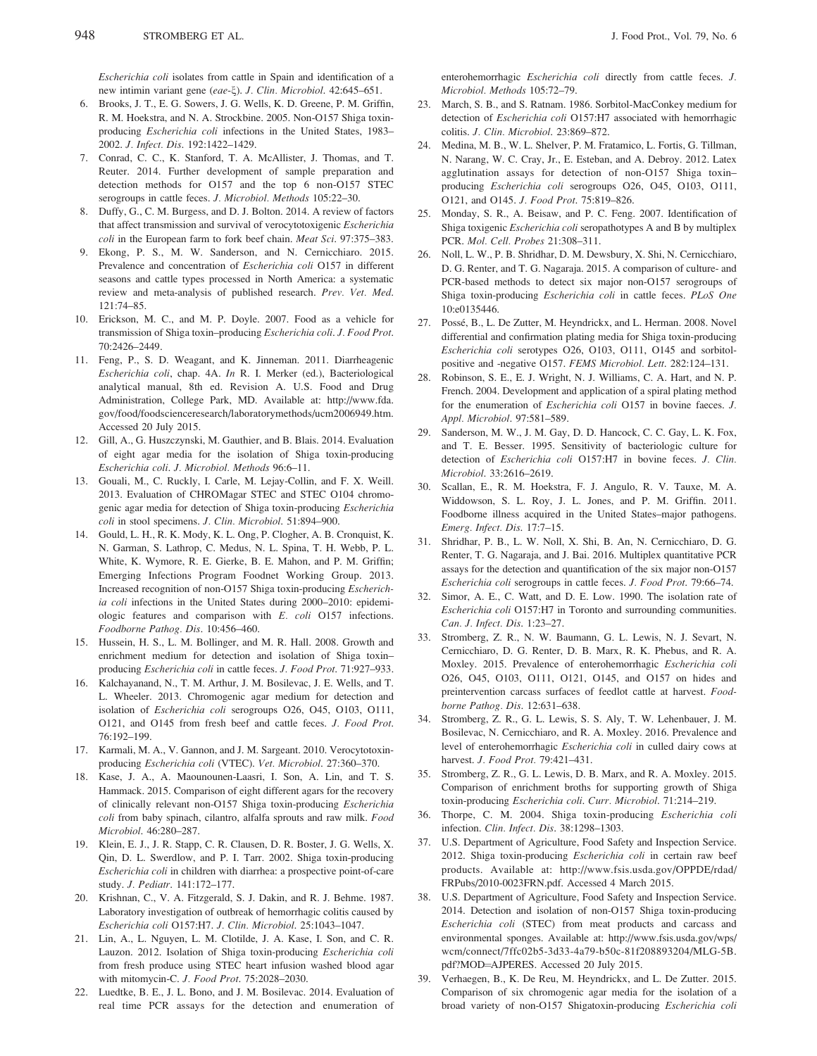Escherichia coli isolates from cattle in Spain and identification of a new intimin variant gene (eae-ξ). J. Clin. Microbiol. 42:645–651.

- 6. Brooks, J. T., E. G. Sowers, J. G. Wells, K. D. Greene, P. M. Griffin, R. M. Hoekstra, and N. A. Strockbine. 2005. Non-O157 Shiga toxinproducing Escherichia coli infections in the United States, 1983– 2002. J. Infect. Dis. 192:1422–1429.
- 7. Conrad, C. C., K. Stanford, T. A. McAllister, J. Thomas, and T. Reuter. 2014. Further development of sample preparation and detection methods for O157 and the top 6 non-O157 STEC serogroups in cattle feces. J. Microbiol. Methods 105:22–30.
- 8. Duffy, G., C. M. Burgess, and D. J. Bolton. 2014. A review of factors that affect transmission and survival of verocytotoxigenic Escherichia coli in the European farm to fork beef chain. Meat Sci. 97:375-383.
- 9. Ekong, P. S., M. W. Sanderson, and N. Cernicchiaro. 2015. Prevalence and concentration of Escherichia coli O157 in different seasons and cattle types processed in North America: a systematic review and meta-analysis of published research. Prev. Vet. Med. 121:74–85.
- 10. Erickson, M. C., and M. P. Doyle. 2007. Food as a vehicle for transmission of Shiga toxin–producing Escherichia coli. J. Food Prot. 70:2426–2449.
- 11. Feng, P., S. D. Weagant, and K. Jinneman. 2011. Diarrheagenic Escherichia coli, chap. 4A. In R. I. Merker (ed.), Bacteriological analytical manual, 8th ed. Revision A. U.S. Food and Drug Administration, College Park, MD. Available at: http://www.fda. gov/food/foodscienceresearch/laboratorymethods/ucm2006949.htm. Accessed 20 July 2015.
- 12. Gill, A., G. Huszczynski, M. Gauthier, and B. Blais. 2014. Evaluation of eight agar media for the isolation of Shiga toxin-producing Escherichia coli. J. Microbiol. Methods 96:6–11.
- 13. Gouali, M., C. Ruckly, I. Carle, M. Lejay-Collin, and F. X. Weill. 2013. Evaluation of CHROMagar STEC and STEC O104 chromogenic agar media for detection of Shiga toxin-producing Escherichia coli in stool specimens. J. Clin. Microbiol. 51:894–900.
- 14. Gould, L. H., R. K. Mody, K. L. Ong, P. Clogher, A. B. Cronquist, K. N. Garman, S. Lathrop, C. Medus, N. L. Spina, T. H. Webb, P. L. White, K. Wymore, R. E. Gierke, B. E. Mahon, and P. M. Griffin; Emerging Infections Program Foodnet Working Group. 2013. Increased recognition of non-O157 Shiga toxin-producing Escherichia coli infections in the United States during 2000-2010: epidemiologic features and comparison with E. coli O157 infections. Foodborne Pathog. Dis. 10:456–460.
- 15. Hussein, H. S., L. M. Bollinger, and M. R. Hall. 2008. Growth and enrichment medium for detection and isolation of Shiga toxin– producing Escherichia coli in cattle feces. J. Food Prot. 71:927–933.
- 16. Kalchayanand, N., T. M. Arthur, J. M. Bosilevac, J. E. Wells, and T. L. Wheeler. 2013. Chromogenic agar medium for detection and isolation of Escherichia coli serogroups O26, O45, O103, O111, O121, and O145 from fresh beef and cattle feces. J. Food Prot. 76:192–199.
- 17. Karmali, M. A., V. Gannon, and J. M. Sargeant. 2010. Verocytotoxinproducing Escherichia coli (VTEC). Vet. Microbiol. 27:360–370.
- 18. Kase, J. A., A. Maounounen-Laasri, I. Son, A. Lin, and T. S. Hammack. 2015. Comparison of eight different agars for the recovery of clinically relevant non-O157 Shiga toxin-producing Escherichia coli from baby spinach, cilantro, alfalfa sprouts and raw milk. Food Microbiol. 46:280–287.
- 19. Klein, E. J., J. R. Stapp, C. R. Clausen, D. R. Boster, J. G. Wells, X. Qin, D. L. Swerdlow, and P. I. Tarr. 2002. Shiga toxin-producing Escherichia coli in children with diarrhea: a prospective point-of-care study. J. Pediatr. 141:172–177.
- 20. Krishnan, C., V. A. Fitzgerald, S. J. Dakin, and R. J. Behme. 1987. Laboratory investigation of outbreak of hemorrhagic colitis caused by Escherichia coli O157:H7. J. Clin. Microbiol. 25:1043–1047.
- 21. Lin, A., L. Nguyen, L. M. Clotilde, J. A. Kase, I. Son, and C. R. Lauzon. 2012. Isolation of Shiga toxin-producing Escherichia coli from fresh produce using STEC heart infusion washed blood agar with mitomycin-C. J. Food Prot. 75:2028–2030.
- 22. Luedtke, B. E., J. L. Bono, and J. M. Bosilevac. 2014. Evaluation of real time PCR assays for the detection and enumeration of

enterohemorrhagic Escherichia coli directly from cattle feces. J. Microbiol. Methods 105:72–79.

- 23. March, S. B., and S. Ratnam. 1986. Sorbitol-MacConkey medium for detection of Escherichia coli O157:H7 associated with hemorrhagic colitis. J. Clin. Microbiol. 23:869–872.
- 24. Medina, M. B., W. L. Shelver, P. M. Fratamico, L. Fortis, G. Tillman, N. Narang, W. C. Cray, Jr., E. Esteban, and A. Debroy. 2012. Latex agglutination assays for detection of non-O157 Shiga toxin– producing Escherichia coli serogroups O26, O45, O103, O111, O121, and O145. J. Food Prot. 75:819–826.
- 25. Monday, S. R., A. Beisaw, and P. C. Feng. 2007. Identification of Shiga toxigenic Escherichia coli seropathotypes A and B by multiplex PCR. Mol. Cell. Probes 21:308–311.
- 26. Noll, L. W., P. B. Shridhar, D. M. Dewsbury, X. Shi, N. Cernicchiaro, D. G. Renter, and T. G. Nagaraja. 2015. A comparison of culture- and PCR-based methods to detect six major non-O157 serogroups of Shiga toxin-producing Escherichia coli in cattle feces. PLoS One 10:e0135446.
- 27. Possé, B., L. De Zutter, M. Heyndrickx, and L. Herman. 2008. Novel differential and confirmation plating media for Shiga toxin-producing Escherichia coli serotypes O26, O103, O111, O145 and sorbitolpositive and -negative O157. FEMS Microbiol. Lett. 282:124–131.
- 28. Robinson, S. E., E. J. Wright, N. J. Williams, C. A. Hart, and N. P. French. 2004. Development and application of a spiral plating method for the enumeration of Escherichia coli O157 in bovine faeces. J. Appl. Microbiol. 97:581–589.
- 29. Sanderson, M. W., J. M. Gay, D. D. Hancock, C. C. Gay, L. K. Fox, and T. E. Besser. 1995. Sensitivity of bacteriologic culture for detection of Escherichia coli O157:H7 in bovine feces. J. Clin. Microbiol. 33:2616–2619.
- 30. Scallan, E., R. M. Hoekstra, F. J. Angulo, R. V. Tauxe, M. A. Widdowson, S. L. Roy, J. L. Jones, and P. M. Griffin. 2011. Foodborne illness acquired in the United States–major pathogens. Emerg. Infect. Dis. 17:7–15.
- 31. Shridhar, P. B., L. W. Noll, X. Shi, B. An, N. Cernicchiaro, D. G. Renter, T. G. Nagaraja, and J. Bai. 2016. Multiplex quantitative PCR assays for the detection and quantification of the six major non-O157 Escherichia coli serogroups in cattle feces. J. Food Prot. 79:66–74.
- 32. Simor, A. E., C. Watt, and D. E. Low. 1990. The isolation rate of Escherichia coli O157:H7 in Toronto and surrounding communities. Can. J. Infect. Dis. 1:23–27.
- 33. Stromberg, Z. R., N. W. Baumann, G. L. Lewis, N. J. Sevart, N. Cernicchiaro, D. G. Renter, D. B. Marx, R. K. Phebus, and R. A. Moxley. 2015. Prevalence of enterohemorrhagic Escherichia coli O26, O45, O103, O111, O121, O145, and O157 on hides and preintervention carcass surfaces of feedlot cattle at harvest. Foodborne Pathog. Dis. 12:631–638.
- 34. Stromberg, Z. R., G. L. Lewis, S. S. Aly, T. W. Lehenbauer, J. M. Bosilevac, N. Cernicchiaro, and R. A. Moxley. 2016. Prevalence and level of enterohemorrhagic Escherichia coli in culled dairy cows at harvest. J. Food Prot. 79:421–431.
- 35. Stromberg, Z. R., G. L. Lewis, D. B. Marx, and R. A. Moxley. 2015. Comparison of enrichment broths for supporting growth of Shiga toxin-producing Escherichia coli. Curr. Microbiol. 71:214–219.
- 36. Thorpe, C. M. 2004. Shiga toxin-producing Escherichia coli infection. Clin. Infect. Dis. 38:1298–1303.
- 37. U.S. Department of Agriculture, Food Safety and Inspection Service. 2012. Shiga toxin-producing Escherichia coli in certain raw beef products. Available at: http://www.fsis.usda.gov/OPPDE/rdad/ FRPubs/2010-0023FRN.pdf. Accessed 4 March 2015.
- 38. U.S. Department of Agriculture, Food Safety and Inspection Service. 2014. Detection and isolation of non-O157 Shiga toxin-producing Escherichia coli (STEC) from meat products and carcass and environmental sponges. Available at: http://www.fsis.usda.gov/wps/ wcm/connect/7ffc02b5-3d33-4a79-b50c-81f208893204/MLG-5B. pdf?MOD=AJPERES. Accessed 20 July 2015.
- 39. Verhaegen, B., K. De Reu, M. Heyndrickx, and L. De Zutter. 2015. Comparison of six chromogenic agar media for the isolation of a broad variety of non-O157 Shigatoxin-producing Escherichia coli